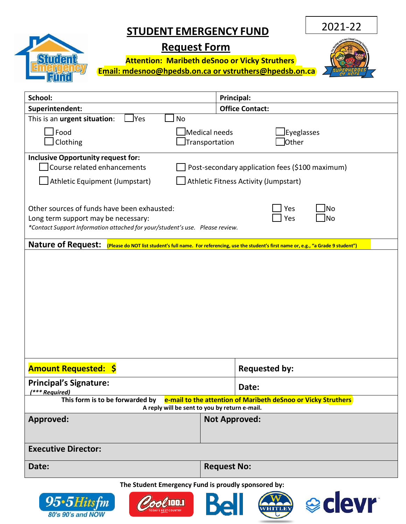## **STUDENT EMERGENCY FUND**

## **Request Form**

 **Attention: Maribeth deSnoo or Vicky Struthers**

 **Email: [mdesnoo@hpedsb.on.ca or](mailto:mdesnoo@hpedsb.on.ca) vstruthers@hpedsb.on.ca** 

2021-22

| School:                                                                                                                                                                                      | Principal:                  |                                 |  |
|----------------------------------------------------------------------------------------------------------------------------------------------------------------------------------------------|-----------------------------|---------------------------------|--|
| Superintendent:                                                                                                                                                                              |                             | <b>Office Contact:</b>          |  |
| This is an urgent situation:<br>Yes<br><b>No</b>                                                                                                                                             |                             |                                 |  |
| Food                                                                                                                                                                                         | Eyeglasses<br>Medical needs |                                 |  |
| Clothing                                                                                                                                                                                     | Transportation              | Other                           |  |
| <b>Inclusive Opportunity request for:</b>                                                                                                                                                    |                             |                                 |  |
| Course related enhancements<br>Post-secondary application fees (\$100 maximum)                                                                                                               |                             |                                 |  |
| Athletic Equipment (Jumpstart)<br>Athletic Fitness Activity (Jumpstart)                                                                                                                      |                             |                                 |  |
|                                                                                                                                                                                              |                             |                                 |  |
| Other sources of funds have been exhausted:<br>Yes<br>No<br>Yes<br>No<br>Long term support may be necessary:<br>*Contact Support Information attached for your/student's use. Please review. |                             |                                 |  |
| <b>Nature of Request:</b><br>(Please do NOT list student's full name. For referencing, use the student's first name or, e.g., "a Grade 9 student")                                           |                             |                                 |  |
|                                                                                                                                                                                              |                             |                                 |  |
|                                                                                                                                                                                              |                             |                                 |  |
|                                                                                                                                                                                              |                             |                                 |  |
|                                                                                                                                                                                              |                             |                                 |  |
|                                                                                                                                                                                              |                             |                                 |  |
|                                                                                                                                                                                              |                             |                                 |  |
|                                                                                                                                                                                              |                             |                                 |  |
|                                                                                                                                                                                              |                             |                                 |  |
|                                                                                                                                                                                              |                             |                                 |  |
| <b>Amount Requested: \$</b>                                                                                                                                                                  |                             | <b>Requested by:</b>            |  |
| <b>Principal's Signature:</b>                                                                                                                                                                |                             | Date:                           |  |
| <sup>***</sup> Required)                                                                                                                                                                     |                             |                                 |  |
| This form is to be forwarded by e-mail to the attention of Maribeth deSnoo or Vicky Struthers<br>A reply will be sent to you by return e-mail.                                               |                             |                                 |  |
| Approved:                                                                                                                                                                                    |                             | <b>Not Approved:</b>            |  |
|                                                                                                                                                                                              |                             |                                 |  |
|                                                                                                                                                                                              |                             |                                 |  |
| <b>Executive Director:</b>                                                                                                                                                                   |                             |                                 |  |
| Date:                                                                                                                                                                                        | <b>Request No:</b>          |                                 |  |
| The Student Emergency Fund is proudly sponsored by:                                                                                                                                          |                             |                                 |  |
|                                                                                                                                                                                              |                             |                                 |  |
| $95·5$ Hitsfm<br>80's 90's and NOW                                                                                                                                                           |                             | <b>e</b> clevr<br><b>HITLEY</b> |  |